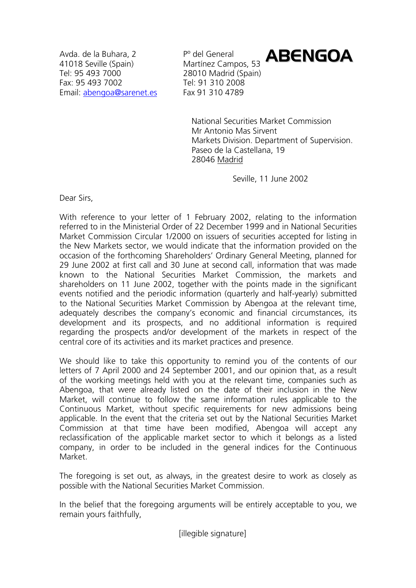Avda, de la Buhara, 2 P° del General 41018 Seville (Spain) Martínez Campos, 53 Tel: 95 493 7000 28010 Madrid (Spain) Fax: 95 493 7002 Tel: 91 310 2008 Email: abengoa@sarenet.es Fax 91 310 4789

ABENGOA

National Securities Market Commission Mr Antonio Mas Sirvent Markets Division. Department of Supervision. Paseo de la Castellana, 19 28046 Madrid

Seville, 11 June 2002

Dear Sirs,

With reference to your letter of 1 February 2002, relating to the information referred to in the Ministerial Order of 22 December 1999 and in National Securities Market Commission Circular 1/2000 on issuers of securities accepted for listing in the New Markets sector, we would indicate that the information provided on the occasion of the forthcoming Shareholders' Ordinary General Meeting, planned for 29 June 2002 at first call and 30 June at second call, information that was made known to the National Securities Market Commission, the markets and shareholders on 11 June 2002, together with the points made in the significant events notified and the periodic information (quarterly and half-yearly) submitted to the National Securities Market Commission by Abengoa at the relevant time, adequately describes the company's economic and financial circumstances, its development and its prospects, and no additional information is required regarding the prospects and/or development of the markets in respect of the central core of its activities and its market practices and presence.

We should like to take this opportunity to remind you of the contents of our letters of 7 April 2000 and 24 September 2001, and our opinion that, as a result of the working meetings held with you at the relevant time, companies such as Abengoa, that were already listed on the date of their inclusion in the New Market, will continue to follow the same information rules applicable to the Continuous Market, without specific requirements for new admissions being applicable. In the event that the criteria set out by the National Securities Market Commission at that time have been modified, Abengoa will accept any reclassification of the applicable market sector to which it belongs as a listed company, in order to be included in the general indices for the Continuous Market.

The foregoing is set out, as always, in the greatest desire to work as closely as possible with the National Securities Market Commission.

In the belief that the foregoing arguments will be entirely acceptable to you, we remain yours faithfully,

[illegible signature]